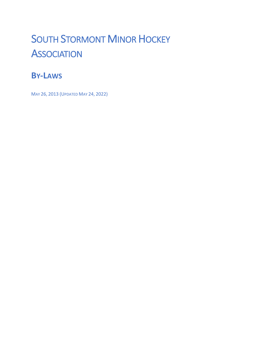# SOUTH STORMONT MINOR HOCKEY **ASSOCIATION**

# **BY-LAWS**

MAY 26, 2013 (UPDATED MAY 24, 2022)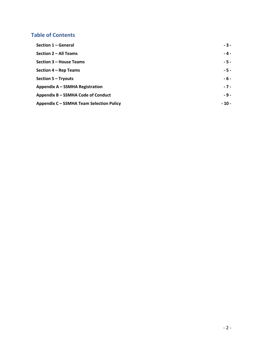# **Table of Contents**

| Section 1 - General                             | $-3-$  |
|-------------------------------------------------|--------|
| Section 2 – All Teams                           | $-4-$  |
| Section 3 – House Teams                         | $-5 -$ |
| Section 4 – Rep Teams                           | $-5 -$ |
| Section 5 - Tryouts                             | $-6-$  |
| Appendix A - SSMHA Registration                 | $-7 -$ |
| Appendix B - SSMHA Code of Conduct              | $-9-$  |
| <b>Appendix C - SSMHA Team Selection Policy</b> | $-10-$ |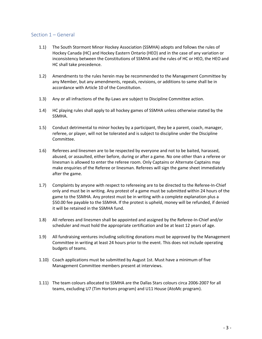### Section 1 – General

- 1.1) The South Stormont Minor Hockey Association (SSMHA) adopts and follows the rules of Hockey Canada (HC) and Hockey Eastern Ontario (HEO) and in the case of any variation or inconsistency between the Constitutions of SSMHA and the rules of HC or HEO, the HEO and HC shall take precedence.
- 1.2) Amendments to the rules herein may be recommended to the Management Committee by any Member, but any amendments, repeals, revisions, or additions to same shall be in accordance with Article 10 of the Constitution.
- 1.3) Any or all infractions of the By-Laws are subject to Discipline Committee action.
- 1.4) HC playing rules shall apply to all hockey games of SSMHA unless otherwise stated by the SSMHA.
- 1.5) Conduct detrimental to minor hockey by a participant, they be a parent, coach, manager, referee, or player, will not be tolerated and is subject to discipline under the Discipline Committee.
- 1.6) Referees and linesmen are to be respected by everyone and not to be baited, harassed, abused, or assaulted, either before, during or after a game. No one other than a referee or linesman is allowed to enter the referee room. Only Captains or Alternate Captains may make enquiries of the Referee or linesman. Referees will sign the game sheet immediately after the game.
- 1.7) Complaints by anyone with respect to refereeing are to be directed to the Referee-In-Chief only and must be in writing. Any protest of a game must be submitted within 24 hours of the game to the SSMHA. Any protest must be in writing with a complete explanation plus a \$50.00 fee payable to the SSMHA. If the protest is upheld, money will be refunded, if denied it will be retained in the SSMHA fund.
- 1.8) All referees and linesmen shall be appointed and assigned by the Referee-In-Chief and/or scheduler and must hold the appropriate certification and be at least 12 years of age.
- 1.9) All fundraising ventures including soliciting donations must be approved by the Management Committee in writing at least 24 hours prior to the event. This does not include operating budgets of teams.
- 1.10) Coach applications must be submitted by August 1st. Must have a minimum of five Management Committee members present at interviews.
- 1.11) The team colours allocated to SSMHA are the Dallas Stars colours circa 2006-2007 for all teams, excluding U7 (Tim Hortons program) and U11 House (AtoMc program).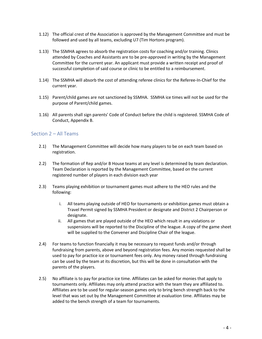- 1.12) The official crest of the Association is approved by the Management Committee and must be followed and used by all teams, excluding U7 (Tim Hortons program).
- 1.13) The SSMHA agrees to absorb the registration costs for coaching and/or training. Clinics attended by Coaches and Assistants are to be pre-approved in writing by the Management Committee for the current year. An applicant must provide a written receipt and proof of successful completion of said course or clinic to be entitled to a reimbursement.
- 1.14) The SSMHA will absorb the cost of attending referee clinics for the Referee-In-Chief for the current year.
- 1.15) Parent/child games are not sanctioned by SSMHA. SSMHA ice times will not be used for the purpose of Parent/child games.
- 1.16) All parents shall sign parents' Code of Conduct before the child is registered. SSMHA Code of Conduct, Appendix B.

#### Section 2 – All Teams

- 2.1) The Management Committee will decide how many players to be on each team based on registration.
- 2.2) The formation of Rep and/or B House teams at any level is determined by team declaration. Team Declaration is reported by the Management Committee, based on the current registered number of players in each division each year
- 2.3) Teams playing exhibition or tournament games must adhere to the HEO rules and the following:
	- i. All teams playing outside of HEO for tournaments or exhibition games must obtain a Travel Permit signed by SSMHA President or designate and District 2 Chairperson or designate.
	- ii. All games that are played outside of the HEO which result in any violations or suspensions will be reported to the Discipline of the league. A copy of the game sheet will be supplied to the Convener and Discipline Chair of the league.
- 2.4) For teams to function financially it may be necessary to request funds and/or through fundraising from parents, above and beyond registration fees. Any monies requested shall be used to pay for practice ice or tournament fees only. Any money raised through fundraising can be used by the team at its discretion, but this will be done in consultation with the parents of the players.
- 2.5) No affiliate is to pay for practice ice time. Affiliates can be asked for monies that apply to tournaments only. Affiliates may only attend practice with the team they are affiliated to. Affiliates are to be used for regular-season games only to bring bench strength back to the level that was set out by the Management Committee at evaluation time. Affiliates may be added to the bench strength of a team for tournaments.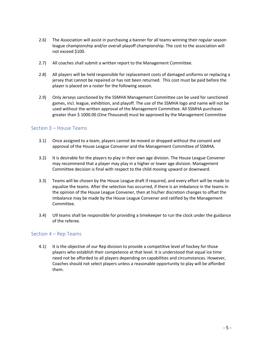- 2.6) The Association will assist in purchasing a banner for all teams winning their regular season league championship and/or overall playoff championship. The cost to the association will not exceed \$100.
- 2.7) All coaches shall submit a written report to the Management Committee.
- 2.8) All players will be held responsible for replacement costs of damaged uniforms or replacing a jersey that cannot be repaired or has not been returned. This cost must be paid before the player is placed on a roster for the following season.
- 2.9) Only Jerseys sanctioned by the SSMHA Management Committee can be used for sanctioned games, incl. league, exhibition, and playoff. The use of the SSMHA logo and name will not be used without the written approval of the Management Committee. All SSMHA purchases greater than \$ 1000.00 (One Thousand) must be approved by the Management Committee

# Section 3 – House Teams

- 3.1) Once assigned to a team, players cannot be moved or dropped without the consent and approval of the House League Convener and the Management Committee of SSMHA.
- 3.2) It is desirable for the players to play in their own age division. The House League Convener may recommend that a player may play in a higher or lower age division. Management Committee decision is final with respect to the child moving upward or downward.
- 3.3) Teams will be chosen by the House League draft if required, and every effort will be made to equalize the teams. After the selection has occurred, if there is an imbalance in the teams in the opinion of the House League Convener, then at his/her discretion changes to offset the imbalance may be made by the House League Convener and ratified by the Management Committee.
- 3.4) U9 teams shall be responsible for providing a timekeeper to run the clock under the guidance of the referee.

#### Section 4 – Rep Teams

4.1) It is the objective of our Rep division to provide a competitive level of hockey for those players who establish their competence at that level. It is understood that equal ice time need not be afforded to all players depending on capabilities and circumstances. However, Coaches should not select players unless a reasonable opportunity to play will be afforded them.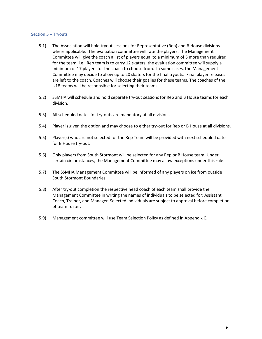#### Section 5 – Tryouts

- 5.1) The Association will hold tryout sessions for Representative (Rep) and B House divisions where applicable. The evaluation committee will rate the players. The Management Committee will give the coach a list of players equal to a minimum of 5 more than required for the team. i.e., Rep team is to carry 12 skaters, the evaluation committee will supply a minimum of 17 players for the coach to choose from. In some cases, the Management Committee may decide to allow up to 20 skaters for the final tryouts. Final player releases are left to the coach. Coaches will choose their goalies for these teams. The coaches of the U18 teams will be responsible for selecting their teams.
- 5.2) SSMHA will schedule and hold separate try-out sessions for Rep and B House teams for each division.
- 5.3) All scheduled dates for try-outs are mandatory at all divisions.
- 5.4) Player is given the option and may choose to either try-out for Rep or B House at all divisions.
- 5.5) Player(s) who are not selected for the Rep Team will be provided with next scheduled date for B House try-out.
- 5.6) Only players from South Stormont will be selected for any Rep or B House team. Under certain circumstances, the Management Committee may allow exceptions under this rule.
- 5.7) The SSMHA Management Committee will be informed of any players on ice from outside South Stormont Boundaries.
- 5.8) After try-out completion the respective head coach of each team shall provide the Management Committee in writing the names of individuals to be selected for: Assistant Coach, Trainer, and Manager. Selected individuals are subject to approval before completion of team roster.
- 5.9) Management committee will use Team Selection Policy as defined in Appendix C.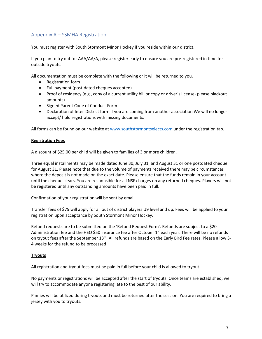# Appendix A – SSMHA Registration

You must register with South Stormont Minor Hockey if you reside within our district.

If you plan to try out for AAA/AA/A, please register early to ensure you are pre-registered in time for outside tryouts.

All documentation must be complete with the following or it will be returned to you.

- Registration form
- Full payment (post-dated cheques accepted)
- Proof of residency (e.g., copy of a current utility bill or copy or driver's license- please blackout amounts)
- Signed Parent Code of Conduct Form
- Declaration of Inter-District form if you are coming from another association We will no longer accept/ hold registrations with missing documents.

All forms can be found on our website at www.southstormontselects.com under the registration tab.

#### **Registration Fees**

A discount of \$25.00 per child will be given to families of 3 or more children.

Three equal installments may be made dated June 30, July 31, and August 31 or one postdated cheque for August 31. Please note that due to the volume of payments received there may be circumstances where the deposit is not made on the exact date. Please ensure that the funds remain in your account until the cheque clears. You are responsible for all NSF charges on any returned cheques. Players will not be registered until any outstanding amounts have been paid in full.

Confirmation of your registration will be sent by email.

Transfer fees of \$75 will apply for all out of district players U9 level and up. Fees will be applied to your registration upon acceptance by South Stormont Minor Hockey.

Refund requests are to be submitted on the 'Refund Request Form'. Refunds are subject to a \$20 Administration fee and the HEO \$50 insurance fee after October  $1<sup>st</sup>$  each year. There will be no refunds on tryout fees after the September 13<sup>th</sup>. All refunds are based on the Early Bird Fee rates. Please allow 3-4 weeks for the refund to be processed

#### **Tryouts**

All registration and tryout fees must be paid in full before your child is allowed to tryout.

No payments or registrations will be accepted after the start of tryouts. Once teams are established, we will try to accommodate anyone registering late to the best of our ability.

Pinnies will be utilized during tryouts and must be returned after the session. You are required to bring a jersey with you to tryouts.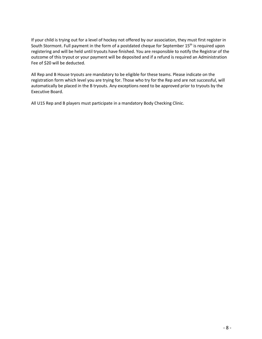If your child is trying out for a level of hockey not offered by our association, they must first register in South Stormont. Full payment in the form of a postdated cheque for September 15<sup>th</sup> is required upon registering and will be held until tryouts have finished. You are responsible to notify the Registrar of the outcome of this tryout or your payment will be deposited and if a refund is required an Administration Fee of \$20 will be deducted.

All Rep and B House tryouts are mandatory to be eligible for these teams. Please indicate on the registration form which level you are trying for. Those who try for the Rep and are not successful, will automatically be placed in the B tryouts. Any exceptions need to be approved prior to tryouts by the Executive Board.

All U15 Rep and B players must participate in a mandatory Body Checking Clinic.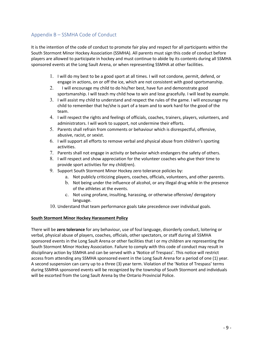# Appendix B – SSMHA Code of Conduct

It is the intention of the code of conduct to promote fair play and respect for all participants within the South Stormont Minor Hockey Association (SSMHA). All parents must sign this code of conduct before players are allowed to participate in hockey and must continue to abide by its contents during all SSMHA sponsored events at the Long Sault Arena, or when representing SSMHA at other facilities.

- 1. I will do my best to be a good sport at all times. I will not condone, permit, defend, or engage in actions, on or off the ice, which are not consistent with good sportsmanship.
- 2. I will encourage my child to do his/her best, have fun and demonstrate good sportsmanship. I will teach my child how to win and lose gracefully. I will lead by example.
- 3. I will assist my child to understand and respect the rules of the game. I will encourage my child to remember that he/she is part of a team and to work hard for the good of the team.
- 4. I will respect the rights and feelings of officials, coaches, trainers, players, volunteers, and administrators. I will work to support, not undermine their efforts.
- 5. Parents shall refrain from comments or behaviour which is disrespectful, offensive, abusive, racist, or sexist.
- 6. I will support all efforts to remove verbal and physical abuse from children's sporting activities.
- 7. Parents shall not engage in activity or behavior which endangers the safety of others.
- 8. I will respect and show appreciation for the volunteer coaches who give their time to provide sport activities for my child(ren).
- 9. Support South Stormont Minor Hockey zero tolerance policies by:
	- a. Not publicly criticizing players, coaches, officials, volunteers, and other parents.
	- b. Not being under the influence of alcohol, or any illegal drug while in the presence of the athletes at the events.
	- c. Not using profane, insulting, harassing, or otherwise offensive/ derogatory language.
- 10. Understand that team performance goals take precedence over individual goals.

#### **South Stormont Minor Hockey Harassment Policy**

There will be **zero tolerance** for any behaviour, use of foul language, disorderly conduct, loitering or verbal, physical abuse of players, coaches, officials, other spectators, or staff during all SSMHA sponsored events in the Long Sault Arena or other facilities that I or my children are representing the South Stormont Minor Hockey Association. Failure to comply with this code of conduct may result in disciplinary action by SSMHA and can be served with a 'Notice of Trespass'. This notice will restrict access from attending any SSMHA sponsored event in the Long Sault Arena for a period of one (1) year. A second suspension can carry up to a three (3) year term. Violation of the 'Notice of Trespass' terms during SSMHA sponsored events will be recognized by the township of South Stormont and individuals will be escorted from the Long Sault Arena by the Ontario Provincial Police.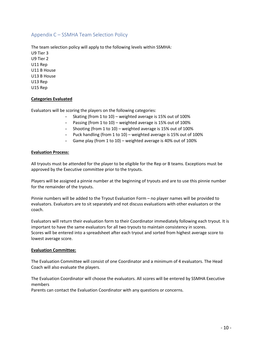# Appendix C – SSMHA Team Selection Policy

The team selection policy will apply to the following levels within SSMHA: U9 Tier 3 U9 Tier 2 U11 Rep U11 B House U13 B House U13 Rep U15 Rep

#### **Categories Evaluated**

Evaluators will be scoring the players on the following categories:

- Skating (from 1 to 10) weighted average is 15% out of 100%
- Passing (from 1 to 10) weighted average is 15% out of 100%
- Shooting (from 1 to 10) weighted average is 15% out of 100%
- Puck handling (from 1 to 10) weighted average is 15% out of 100%
- Game play (from 1 to 10) weighted average is 40% out of 100%

#### **Evaluation Process:**

All tryouts must be attended for the player to be eligible for the Rep or B teams. Exceptions must be approved by the Executive committee prior to the tryouts.

Players will be assigned a pinnie number at the beginning of tryouts and are to use this pinnie number for the remainder of the tryouts.

Pinnie numbers will be added to the Tryout Evaluation Form – no player names will be provided to evaluators. Evaluators are to sit separately and not discuss evaluations with other evaluators or the coach.

Evaluators will return their evaluation form to their Coordinator immediately following each tryout. It is important to have the same evaluators for all two tryouts to maintain consistency in scores. Scores will be entered into a spreadsheet after each tryout and sorted from highest average score to lowest average score.

#### **Evaluation Committee:**

The Evaluation Committee will consist of one Coordinator and a minimum of 4 evaluators. The Head Coach will also evaluate the players.

The Evaluation Coordinator will choose the evaluators. All scores will be entered by SSMHA Executive members

Parents can contact the Evaluation Coordinator with any questions or concerns.